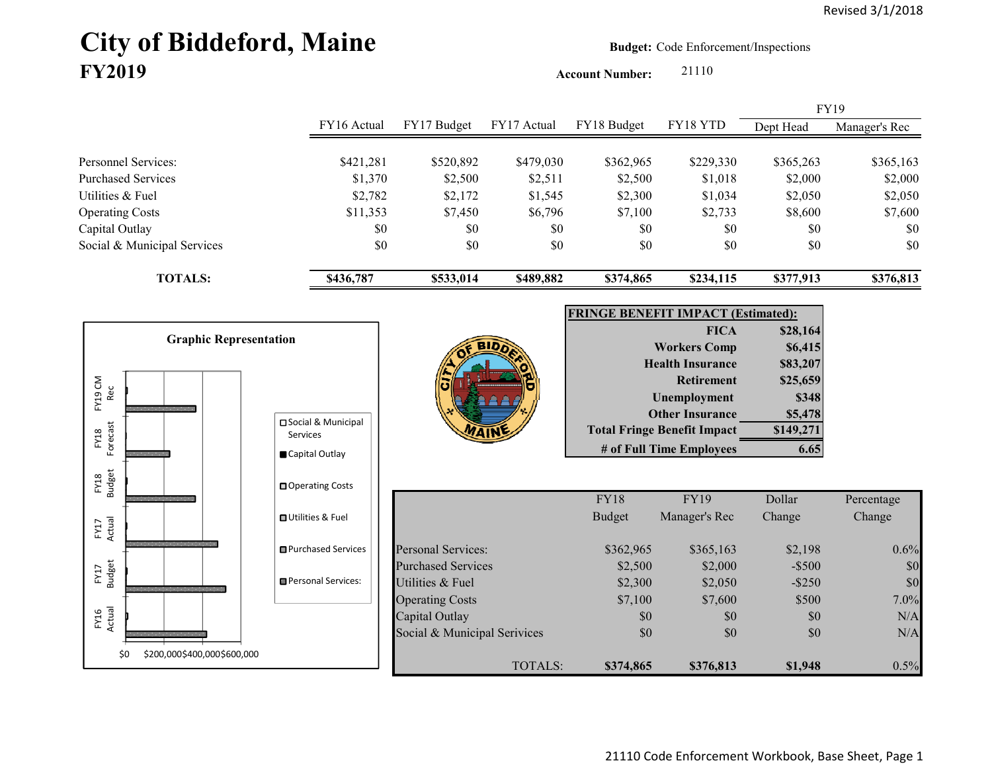# City of Biddeford, Maine **Budget:** Code Enforcement/Inspections **FY2019**

**Account Number:** 21110

FY16 Actual FY17 Budget FY17 Actual FY18 Budget FY18 YTD Dept Head Manager's Rec Personnel Services: \$421,281 \$520,892 \$479,030 \$362,965 \$229,330 \$365,263 \$365,163 Purchased Services 62,000 \$1,370 \$2,500 \$2,511 \$2,500 \$2,500 \$2,000 \$2,000 \$2,000 Utilities & Fuel \$2,782 \$2,172 \$1,545 \$2,300 \$1,034 \$2,050 \$2,050 Operating Costs 68,600 \$11,353 \$7,450 \$6,796 \$7,100 \$2,733 \$8,600 \$7,600 Capital Outlay \$0 \$0 \$0 \$0 \$0 \$0 Social & Municipal Services \$0 \$0 \$0 \$0 \$0 \$0 \$0 **TOTALS: \$436,787 \$533,014 \$489,882 \$374,865 \$234,115 \$377,913 \$376,813** FY19

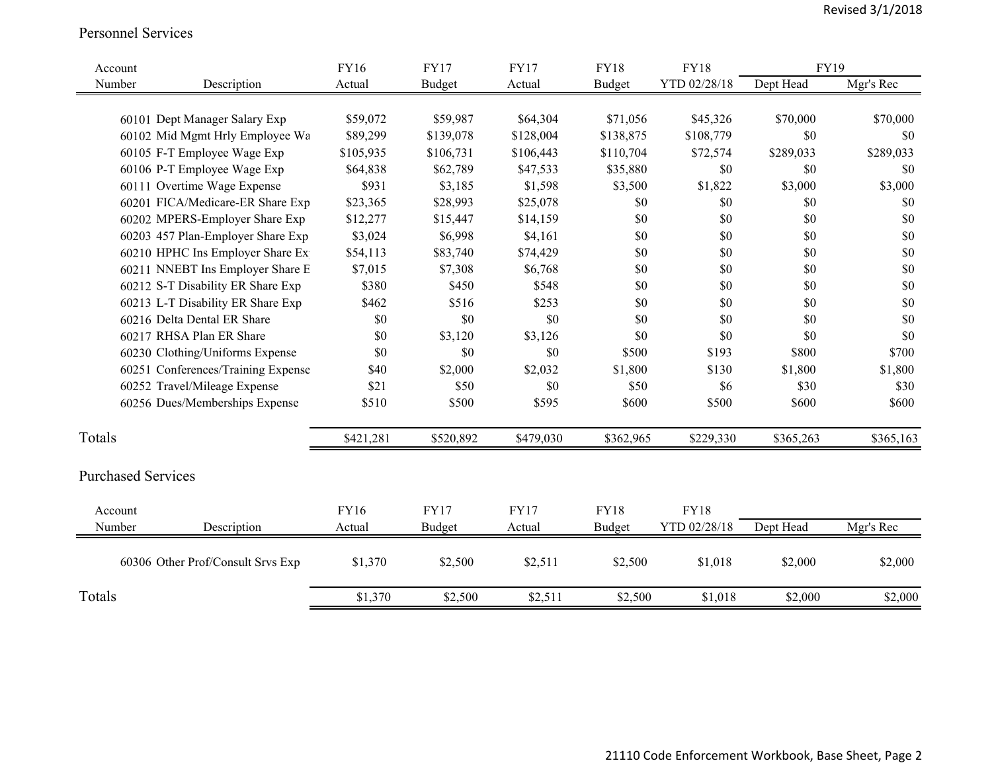#### Personnel Services

| Account |                                    | <b>FY16</b> | <b>FY17</b>   | <b>FY17</b> | <b>FY18</b>   | <b>FY18</b>  | <b>FY19</b> |           |
|---------|------------------------------------|-------------|---------------|-------------|---------------|--------------|-------------|-----------|
| Number  | Description                        | Actual      | <b>Budget</b> | Actual      | <b>Budget</b> | YTD 02/28/18 | Dept Head   | Mgr's Rec |
|         |                                    |             |               |             |               |              |             |           |
|         | 60101 Dept Manager Salary Exp      | \$59,072    | \$59,987      | \$64,304    | \$71,056      | \$45,326     | \$70,000    | \$70,000  |
|         | 60102 Mid Mgmt Hrly Employee Wa    | \$89,299    | \$139,078     | \$128,004   | \$138,875     | \$108,779    | \$0         | \$0       |
|         | 60105 F-T Employee Wage Exp        | \$105,935   | \$106,731     | \$106,443   | \$110,704     | \$72,574     | \$289,033   | \$289,033 |
|         | 60106 P-T Employee Wage Exp        | \$64,838    | \$62,789      | \$47,533    | \$35,880      | \$0          | \$0         | \$0       |
|         | 60111 Overtime Wage Expense        | \$931       | \$3,185       | \$1,598     | \$3,500       | \$1,822      | \$3,000     | \$3,000   |
|         | 60201 FICA/Medicare-ER Share Exp   | \$23,365    | \$28,993      | \$25,078    | \$0           | \$0          | \$0         | \$0       |
|         | 60202 MPERS-Employer Share Exp     | \$12,277    | \$15,447      | \$14,159    | \$0           | \$0          | \$0         | \$0       |
|         | 60203 457 Plan-Employer Share Exp  | \$3,024     | \$6,998       | \$4,161     | \$0           | \$0          | \$0         | \$0       |
|         | 60210 HPHC Ins Employer Share Ex   | \$54,113    | \$83,740      | \$74,429    | \$0           | \$0          | \$0         | \$0       |
|         | 60211 NNEBT Ins Employer Share E   | \$7,015     | \$7,308       | \$6,768     | \$0           | \$0          | \$0         | \$0       |
|         | 60212 S-T Disability ER Share Exp  | \$380       | \$450         | \$548       | \$0           | \$0          | \$0         | \$0       |
|         | 60213 L-T Disability ER Share Exp  | \$462       | \$516         | \$253       | \$0           | \$0          | \$0         | \$0       |
|         | 60216 Delta Dental ER Share        | \$0         | \$0           | \$0         | \$0           | \$0          | \$0         | \$0       |
|         | 60217 RHSA Plan ER Share           | \$0         | \$3,120       | \$3,126     | \$0           | \$0          | \$0         | \$0       |
|         | 60230 Clothing/Uniforms Expense    | \$0         | \$0           | \$0         | \$500         | \$193        | \$800       | \$700     |
|         | 60251 Conferences/Training Expense | \$40        | \$2,000       | \$2,032     | \$1,800       | \$130        | \$1,800     | \$1,800   |
|         | 60252 Travel/Mileage Expense       | \$21        | \$50          | \$0         | \$50          | \$6          | \$30        | \$30      |
|         | 60256 Dues/Memberships Expense     | \$510       | \$500         | \$595       | \$600         | \$500        | \$600       | \$600     |
| Totals  |                                    | \$421,281   | \$520,892     | \$479,030   | \$362,965     | \$229,330    | \$365,263   | \$365,163 |
|         |                                    |             |               |             |               |              |             |           |
|         | <b>Purchased Services</b>          |             |               |             |               |              |             |           |
| Account |                                    | <b>FY16</b> | <b>FY17</b>   | <b>FY17</b> | <b>FY18</b>   | <b>FY18</b>  |             |           |
| Number  | Description                        | Actual      | Budget        | Actual      | Budget        | YTD 02/28/18 | Dept Head   | Mgr's Rec |
|         | 60306 Other Prof/Consult Srvs Exp  | \$1,370     | \$2,500       | \$2,511     | \$2,500       | \$1,018      | \$2,000     | \$2,000   |
| Totals  |                                    | \$1,370     | \$2,500       | \$2,511     | \$2,500       | \$1,018      | \$2,000     | \$2,000   |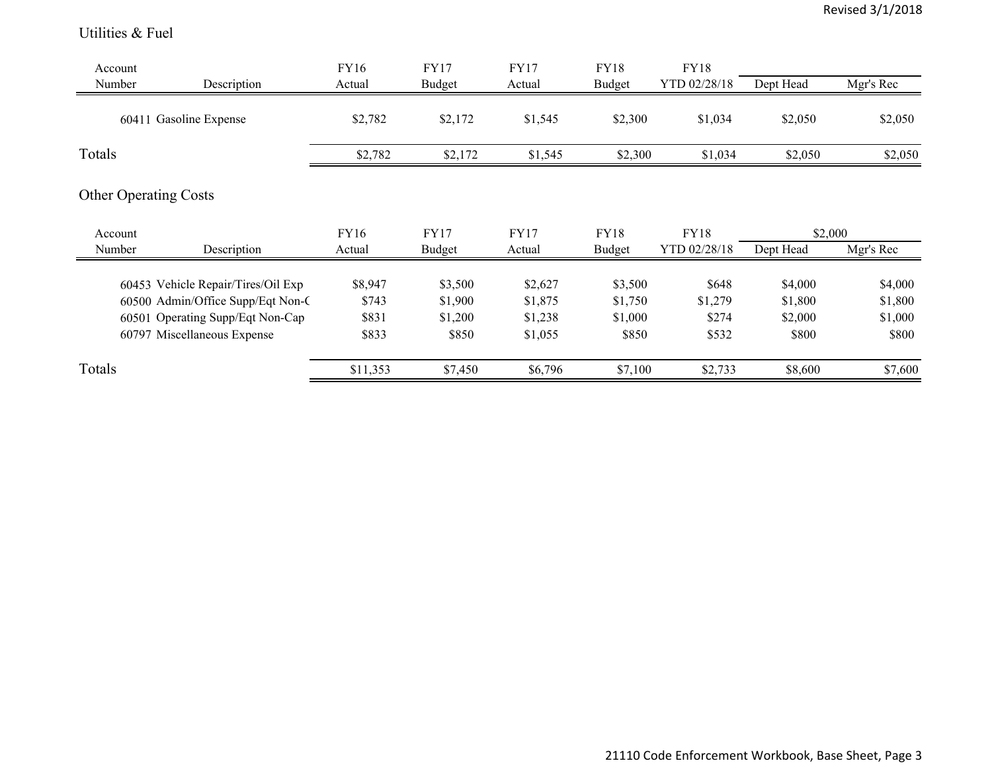#### Utilities & Fuel

| Account<br>Number | Description                        | FY16<br>Actual | <b>FY17</b><br>Budget | <b>FY17</b><br>Actual | FY18<br>Budget | <b>FY18</b><br>YTD 02/28/18 | Dept Head | Mgr's Rec |
|-------------------|------------------------------------|----------------|-----------------------|-----------------------|----------------|-----------------------------|-----------|-----------|
|                   |                                    |                |                       |                       |                |                             |           |           |
|                   | 60411 Gasoline Expense             | \$2,782        | \$2,172               | \$1,545               | \$2,300        | \$1,034                     | \$2,050   | \$2,050   |
| Totals            |                                    | \$2,782        | \$2,172               | \$1,545               | \$2,300        | \$1,034                     | \$2,050   | \$2,050   |
|                   | <b>Other Operating Costs</b>       |                |                       |                       |                |                             |           |           |
| Account           |                                    | FY16           | <b>FY17</b>           | <b>FY17</b>           | <b>FY18</b>    | <b>FY18</b>                 | \$2,000   |           |
| Number            | Description                        | Actual         | <b>Budget</b>         | Actual                | <b>Budget</b>  | YTD 02/28/18                | Dept Head | Mgr's Rec |
|                   | 60453 Vehicle Repair/Tires/Oil Exp | \$8,947        | \$3,500               | \$2,627               | \$3,500        | \$648                       | \$4,000   | \$4,000   |
|                   | 60500 Admin/Office Supp/Eqt Non-C  | \$743          | \$1,900               | \$1,875               | \$1,750        | \$1,279                     | \$1,800   | \$1,800   |
|                   | 60501 Operating Supp/Eqt Non-Cap   | \$831          | \$1,200               | \$1,238               | \$1,000        | \$274                       | \$2,000   | \$1,000   |
|                   |                                    |                |                       |                       |                |                             |           |           |
|                   | 60797 Miscellaneous Expense        | \$833          | \$850                 | \$1,055               | \$850          | \$532                       | \$800     | \$800     |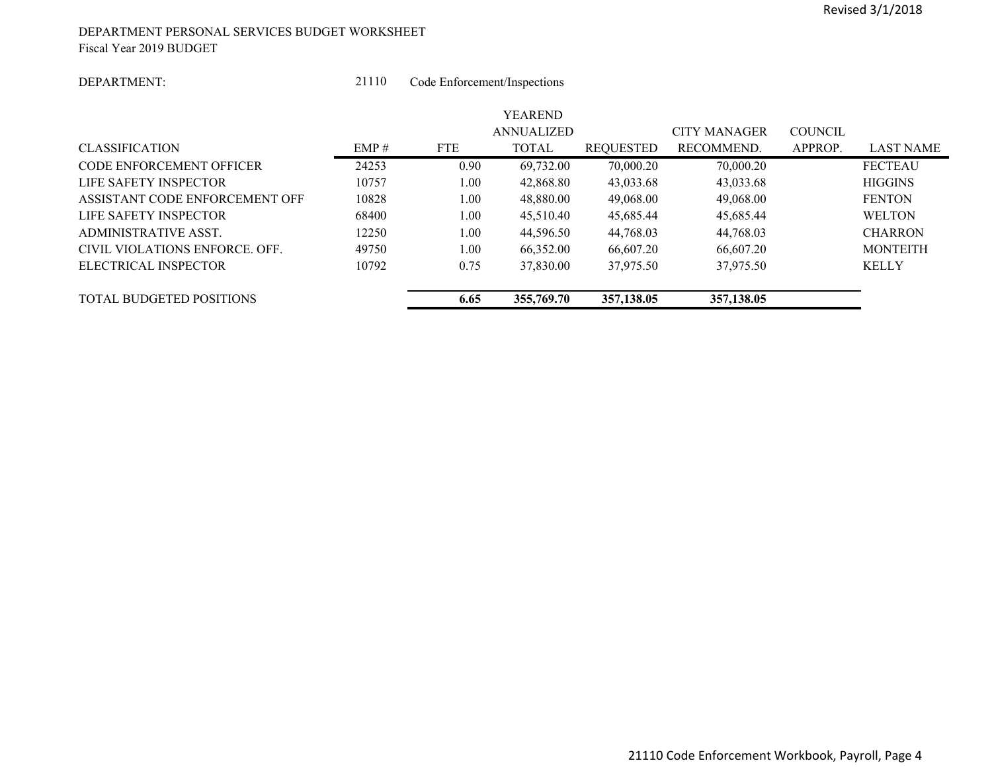#### DEPARTMENT PERSONAL SERVICES BUDGET WORKSHEET Fiscal Year 2019 BUDGET

#### DEPARTMENT:

 21110Code Enforcement/Inspections

|                                 |       |            | <b>YEAREND</b>    |                  |                     |                |                 |
|---------------------------------|-------|------------|-------------------|------------------|---------------------|----------------|-----------------|
|                                 |       |            | <b>ANNUALIZED</b> |                  | <b>CITY MANAGER</b> | <b>COUNCIL</b> |                 |
| <b>CLASSIFICATION</b>           | EMP#  | <b>FTE</b> | <b>TOTAL</b>      | <b>REQUESTED</b> | RECOMMEND.          | APPROP.        | LAST NAME       |
| CODE ENFORCEMENT OFFICER        | 24253 | 0.90       | 69,732.00         | 70,000.20        | 70,000.20           |                | <b>FECTEAU</b>  |
| LIFE SAFETY INSPECTOR           | 10757 | 1.00       | 42,868.80         | 43,033.68        | 43,033.68           |                | <b>HIGGINS</b>  |
| ASSISTANT CODE ENFORCEMENT OFF  | 10828 | 1.00       | 48,880.00         | 49,068.00        | 49,068.00           |                | <b>FENTON</b>   |
| LIFE SAFETY INSPECTOR           | 68400 | 1.00       | 45,510.40         | 45.685.44        | 45,685.44           |                | <b>WELTON</b>   |
| ADMINISTRATIVE ASST.            | 12250 | 1.00       | 44,596.50         | 44,768.03        | 44,768.03           |                | <b>CHARRON</b>  |
| CIVIL VIOLATIONS ENFORCE, OFF.  | 49750 | 1.00       | 66,352.00         | 66,607.20        | 66.607.20           |                | <b>MONTEITH</b> |
| ELECTRICAL INSPECTOR            | 10792 | 0.75       | 37,830.00         | 37,975.50        | 37,975.50           |                | <b>KELLY</b>    |
| <b>TOTAL BUDGETED POSITIONS</b> |       | 6.65       | 355,769.70        | 357,138.05       | 357,138.05          |                |                 |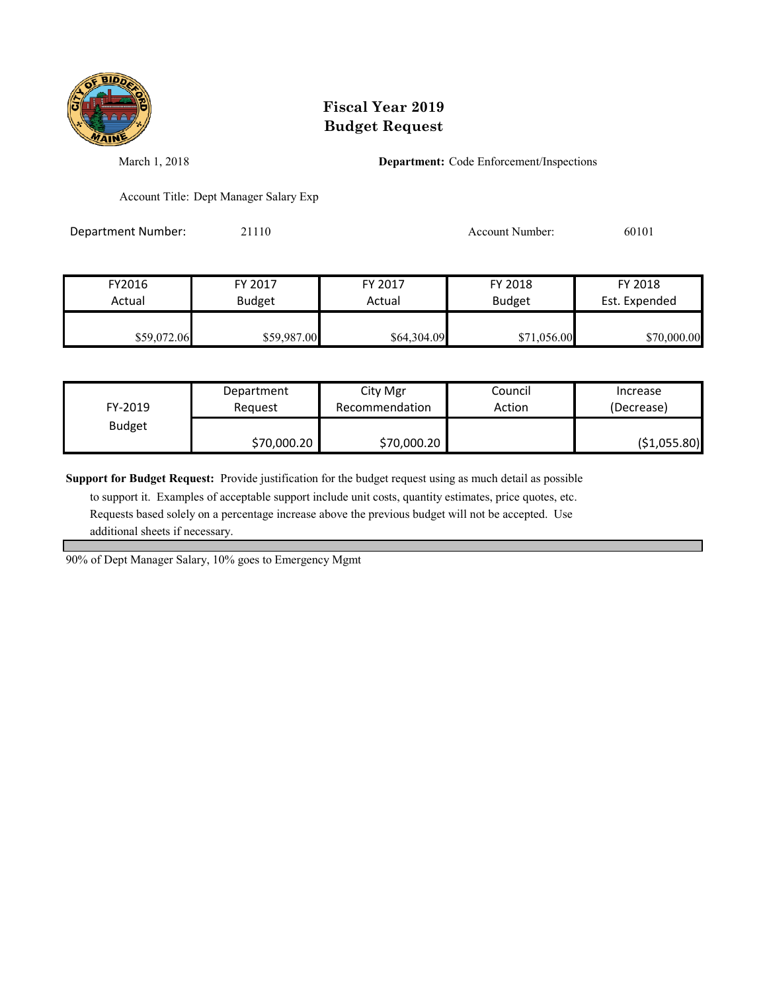

March 1, 2018 **Department:** Code Enforcement/Inspections

Account Title: Dept Manager Salary Exp

Department Number: 21110 21110 Account Number: 60101

| FY2016      | FY 2017       | FY 2017     | FY 2018       | FY 2018       |
|-------------|---------------|-------------|---------------|---------------|
| Actual      | <b>Budget</b> |             | <b>Budget</b> | Est. Expended |
|             |               |             |               |               |
| \$59,072.06 | \$59,987.00   | \$64,304.09 | \$71,056.00   | \$70,000.00   |

| FY-2019       | Department  | City Mgr       | Council | Increase      |
|---------------|-------------|----------------|---------|---------------|
|               | Reauest     | Recommendation | Action  | (Decrease)    |
| <b>Budget</b> | \$70,000.20 | \$70,000.20    |         | ( \$1,055.80) |

**Support for Budget Request:** Provide justification for the budget request using as much detail as possible

 to support it. Examples of acceptable support include unit costs, quantity estimates, price quotes, etc. Requests based solely on a percentage increase above the previous budget will not be accepted. Use additional sheets if necessary.

90% of Dept Manager Salary, 10% goes to Emergency Mgmt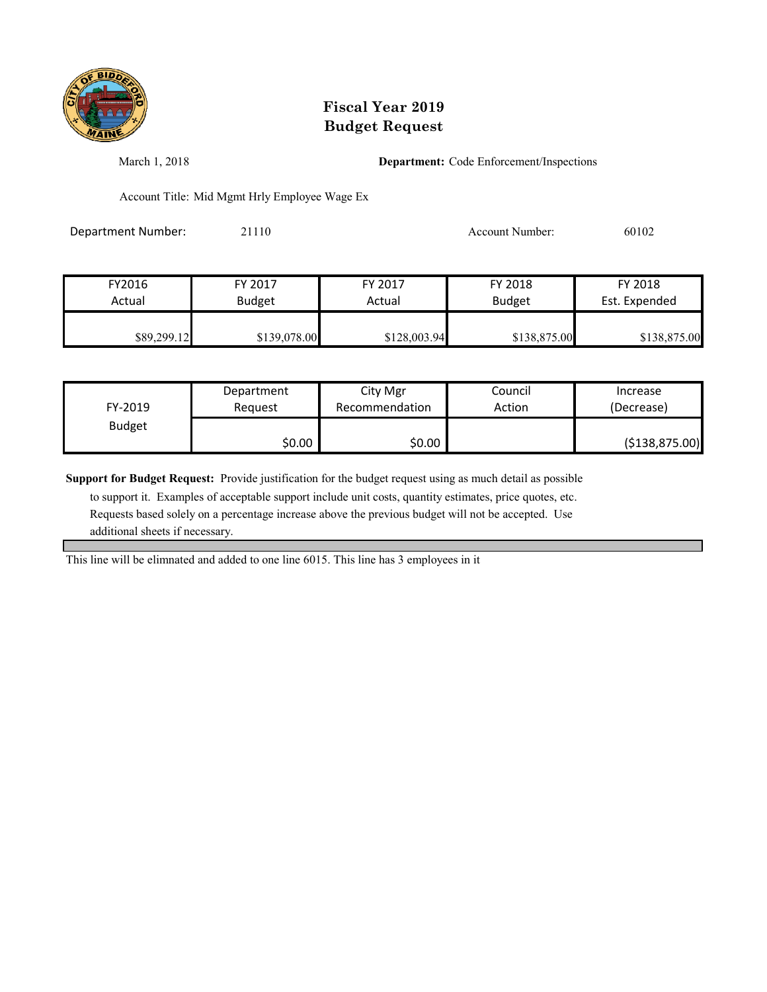

March 1, 2018 **Department:** Code Enforcement/Inspections

Account Title: Mid Mgmt Hrly Employee Wage Ex

Department Number: 21110 21110 Account Number: 60102

| FY 2017<br>FY2016<br><b>Budget</b><br>Actual |              | FY 2017<br>Actual | FY 2018<br><b>Budget</b> | FY 2018<br>Est. Expended |
|----------------------------------------------|--------------|-------------------|--------------------------|--------------------------|
| \$89,299.12                                  | \$139,078.00 | \$128,003.94      | \$138,875.00             | \$138,875.00             |

| FY-2019       | Department | City Mgr       | Council | Increase         |
|---------------|------------|----------------|---------|------------------|
|               | Reauest    | Recommendation | Action  | (Decrease)       |
| <b>Budget</b> | \$0.00     | \$0.00         |         | ( \$138, 875.00) |

**Support for Budget Request:** Provide justification for the budget request using as much detail as possible

 to support it. Examples of acceptable support include unit costs, quantity estimates, price quotes, etc. Requests based solely on a percentage increase above the previous budget will not be accepted. Use additional sheets if necessary.

This line will be elimnated and added to one line 6015. This line has 3 employees in it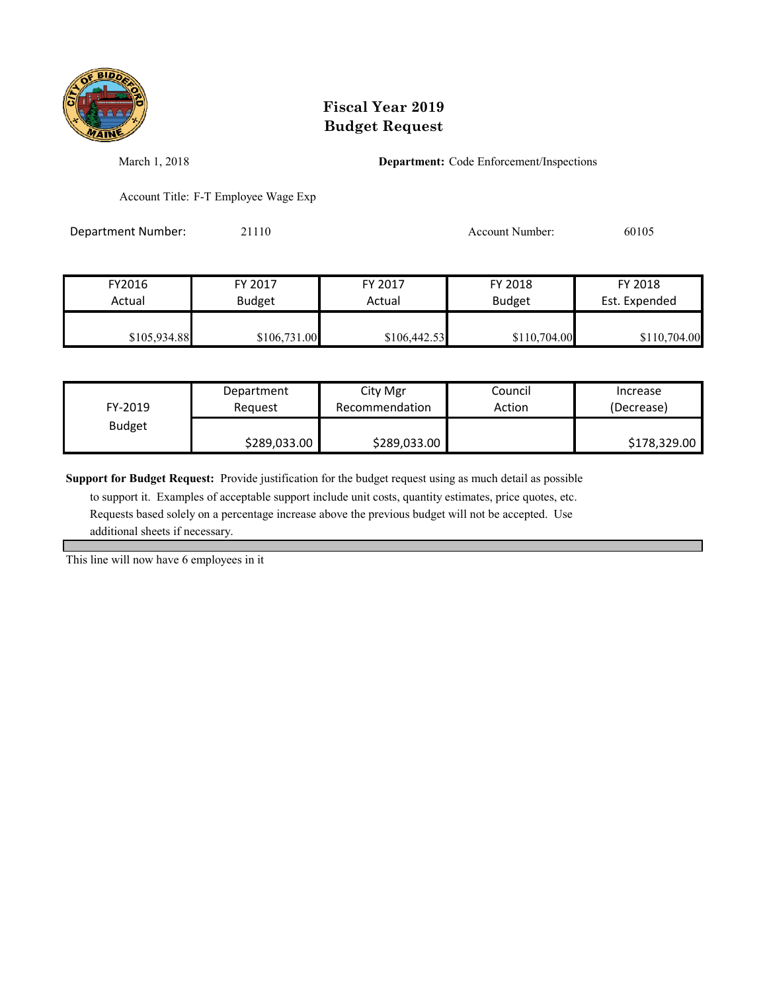

March 1, 2018 **Department:** Code Enforcement/Inspections

Account Title: F-T Employee Wage Exp

Department Number: 21110 21110 Account Number: 60105

| FY2016       | FY 2017       | FY 2017      | FY 2018       | FY 2018       |
|--------------|---------------|--------------|---------------|---------------|
| Actual       | <b>Budget</b> | Actual       | <b>Budget</b> | Est. Expended |
| \$105,934.88 | \$106,731.00  | \$106,442.53 | \$110,704.00  | \$110,704.00  |

| FY-2019       | Department   | City Mgr       | Council | Increase     |
|---------------|--------------|----------------|---------|--------------|
|               | Reauest      | Recommendation | Action  | (Decrease)   |
| <b>Budget</b> | \$289,033.00 | \$289,033.00   |         | \$178,329.00 |

**Support for Budget Request:** Provide justification for the budget request using as much detail as possible

 to support it. Examples of acceptable support include unit costs, quantity estimates, price quotes, etc. Requests based solely on a percentage increase above the previous budget will not be accepted. Use additional sheets if necessary.

This line will now have 6 employees in it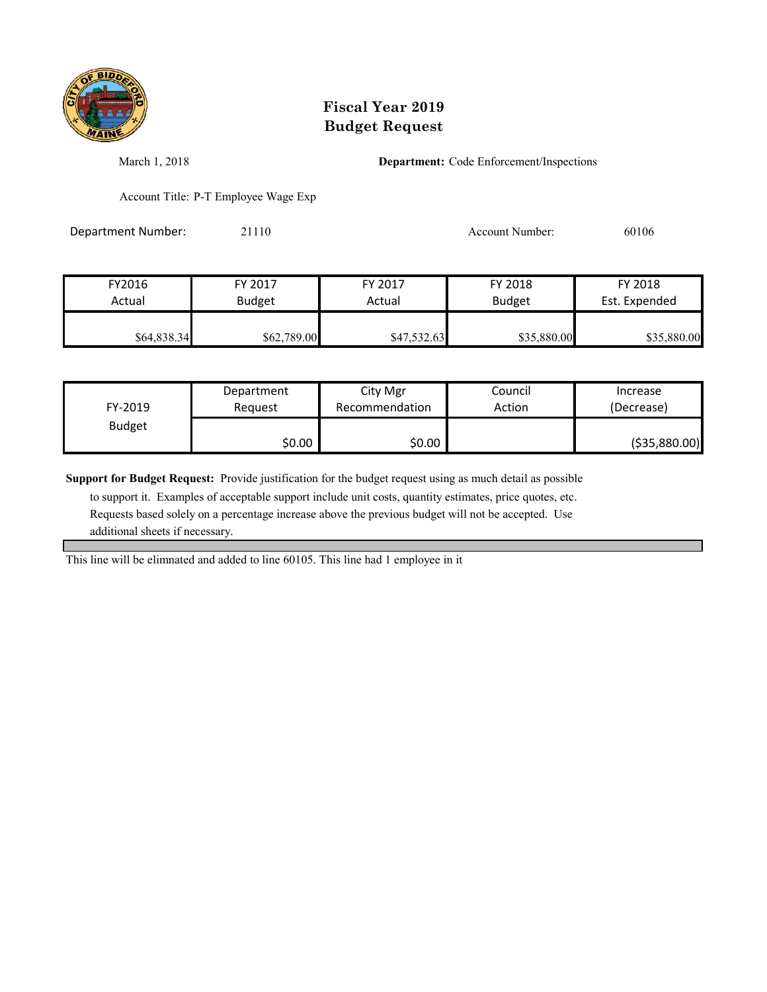

March 1, 2018 **Department:** Code Enforcement/Inspections

Account Title: P-T Employee Wage Exp

Department Number: 21110 21110 Account Number: 60106

| FY2016                  | FY 2017     | FY 2017     | FY 2018       | FY 2018       |
|-------------------------|-------------|-------------|---------------|---------------|
| <b>Budget</b><br>Actual |             | Actual      | <b>Budget</b> | Est. Expended |
|                         |             |             |               |               |
| \$64,838.34             | \$62,789.00 | \$47,532.63 | \$35,880.00   | \$35,880.00   |

| FY-2019       | Department | City Mgr       | Council | Increase       |
|---------------|------------|----------------|---------|----------------|
|               | Reauest    | Recommendation | Action  | (Decrease)     |
| <b>Budget</b> | \$0.00∣    | \$0.00         |         | ( \$35,880.00) |

**Support for Budget Request:** Provide justification for the budget request using as much detail as possible

 to support it. Examples of acceptable support include unit costs, quantity estimates, price quotes, etc. Requests based solely on a percentage increase above the previous budget will not be accepted. Use additional sheets if necessary.

This line will be elimnated and added to line 60105. This line had 1 employee in it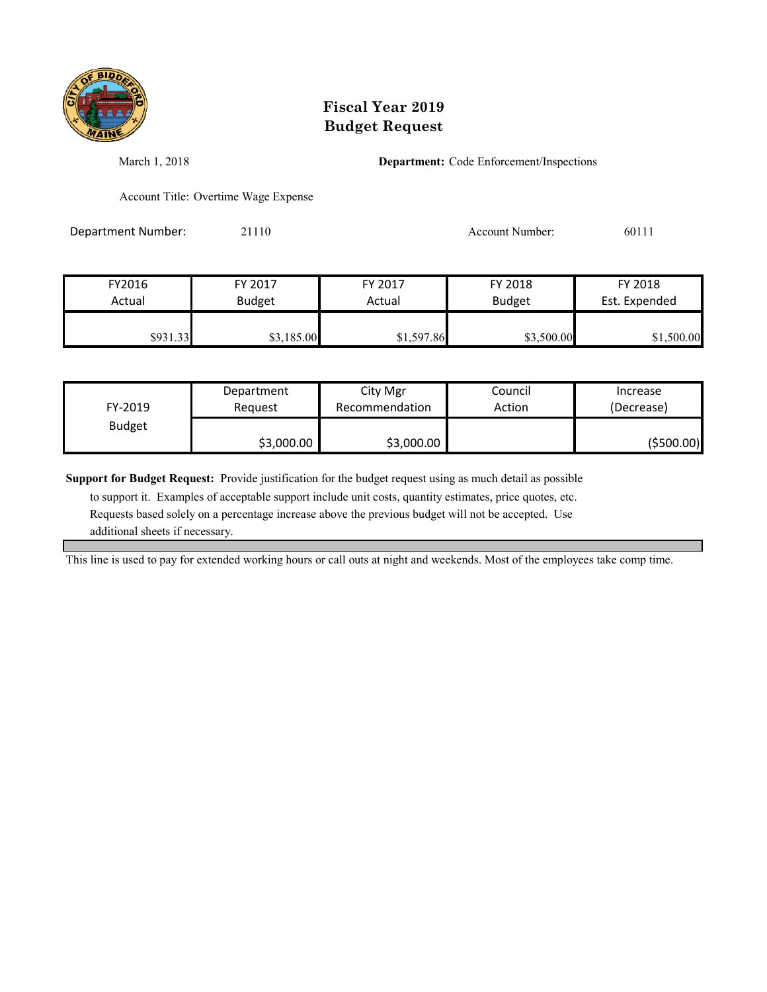

March 1, 2018 **Department:** Code Enforcement/Inspections

Account Title: Overtime Wage Expense

Department Number: 21110 Account Number: 60111

| FY2016   | FY 2017       | FY 2017    | FY 2018       | FY 2018       |
|----------|---------------|------------|---------------|---------------|
| Actual   | <b>Budget</b> | Actual     | <b>Budget</b> | Est. Expended |
| \$931.33 | \$3,185.00    | \$1,597.86 | \$3,500.00    | \$1,500.00    |

| FY-2019       | Department | City Mgr       | Council | Increase    |
|---------------|------------|----------------|---------|-------------|
|               | Reauest    | Recommendation | Action  | (Decrease)  |
| <b>Budget</b> | \$3,000.00 | \$3,000.00     |         | ( \$500.00] |

**Support for Budget Request:** Provide justification for the budget request using as much detail as possible

 to support it. Examples of acceptable support include unit costs, quantity estimates, price quotes, etc. Requests based solely on a percentage increase above the previous budget will not be accepted. Use additional sheets if necessary.

This line is used to pay for extended working hours or call outs at night and weekends. Most of the employees take comp time.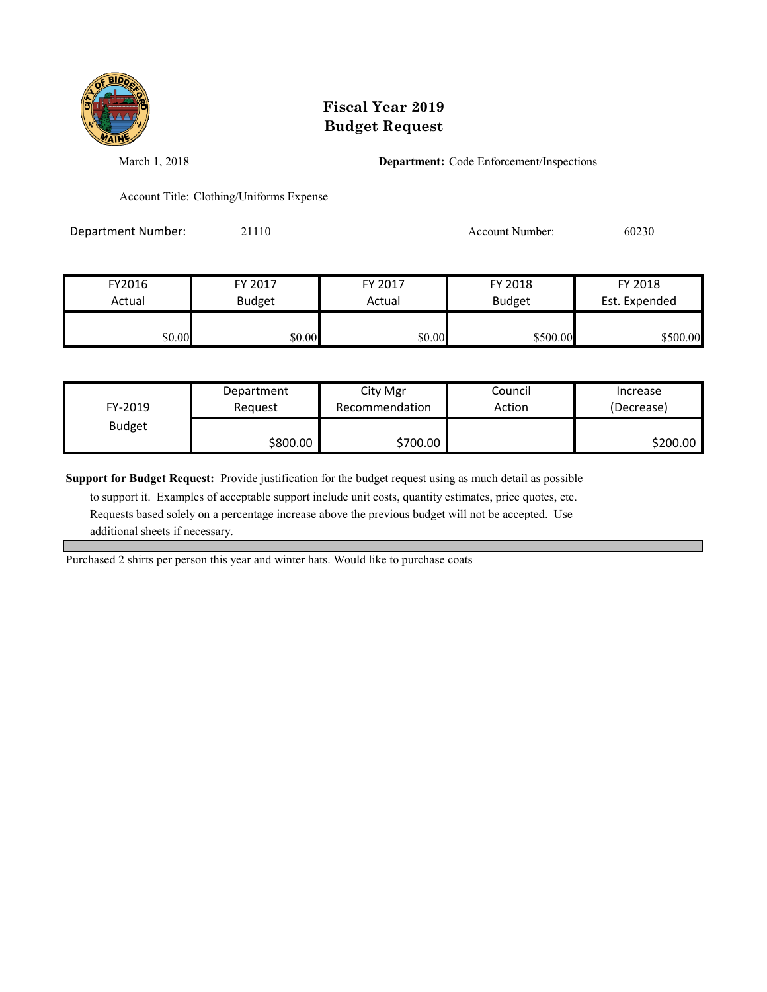

March 1, 2018 **Department:** Code Enforcement/Inspections

Account Title: Clothing/Uniforms Expense

Department Number: 21110 21110 Account Number: 60230

| FY2016 | FY 2017       | FY 2017 | FY 2018       | FY 2018       |
|--------|---------------|---------|---------------|---------------|
| Actual | <b>Budget</b> | Actual  | <b>Budget</b> | Est. Expended |
| \$0.00 | \$0.00        | \$0.00  | \$500.00      | \$500.00      |

| FY-2019       | Department | City Mgr       | Council | Increase   |
|---------------|------------|----------------|---------|------------|
|               | Reauest    | Recommendation | Action  | (Decrease) |
| <b>Budget</b> | \$800.00   | \$700.00       |         | \$200.00   |

**Support for Budget Request:** Provide justification for the budget request using as much detail as possible

 to support it. Examples of acceptable support include unit costs, quantity estimates, price quotes, etc. Requests based solely on a percentage increase above the previous budget will not be accepted. Use additional sheets if necessary.

Purchased 2 shirts per person this year and winter hats. Would like to purchase coats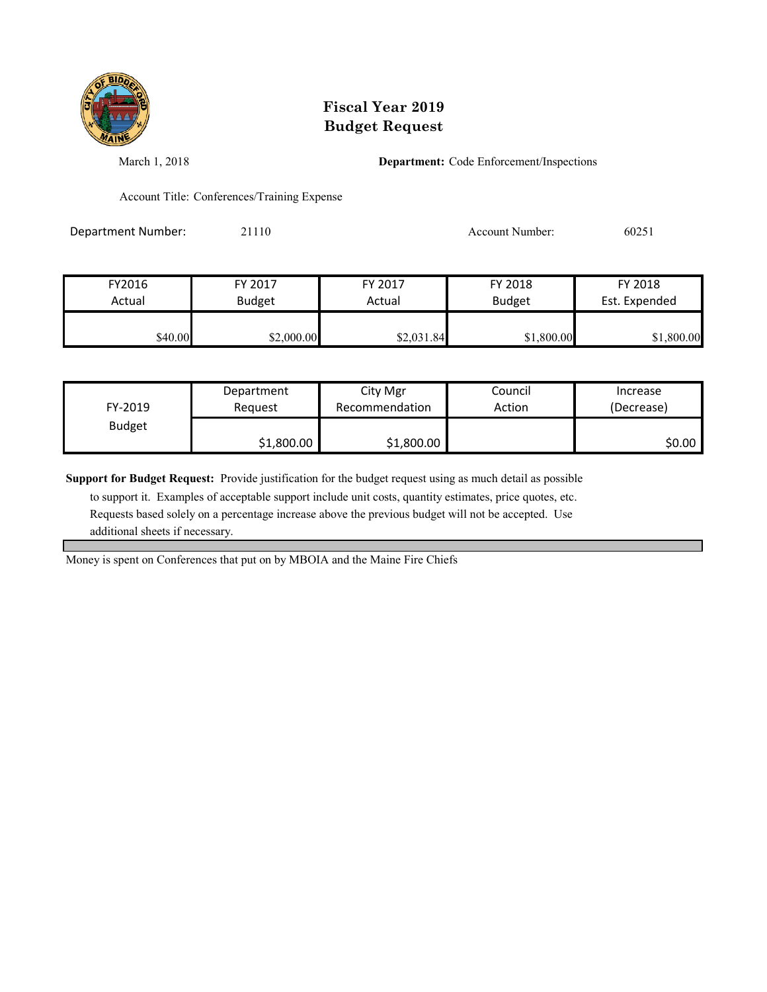

March 1, 2018 **Department:** Code Enforcement/Inspections

Account Title: Conferences/Training Expense

Department Number: 21110 21110 Account Number: 60251

| FY2016  | FY 2017       | FY 2017    | FY 2018       | FY 2018       |
|---------|---------------|------------|---------------|---------------|
| Actual  | <b>Budget</b> | Actual     | <b>Budget</b> | Est. Expended |
| \$40.00 | \$2,000.00    | \$2,031.84 | \$1,800.00    | \$1,800.00    |

| FY-2019       | Department | City Mgr       | Council | Increase   |
|---------------|------------|----------------|---------|------------|
|               | Reauest    | Recommendation | Action  | (Decrease) |
| <b>Budget</b> | \$1,800.00 | \$1,800.00     |         | \$0.00     |

**Support for Budget Request:** Provide justification for the budget request using as much detail as possible

 to support it. Examples of acceptable support include unit costs, quantity estimates, price quotes, etc. Requests based solely on a percentage increase above the previous budget will not be accepted. Use additional sheets if necessary.

Money is spent on Conferences that put on by MBOIA and the Maine Fire Chiefs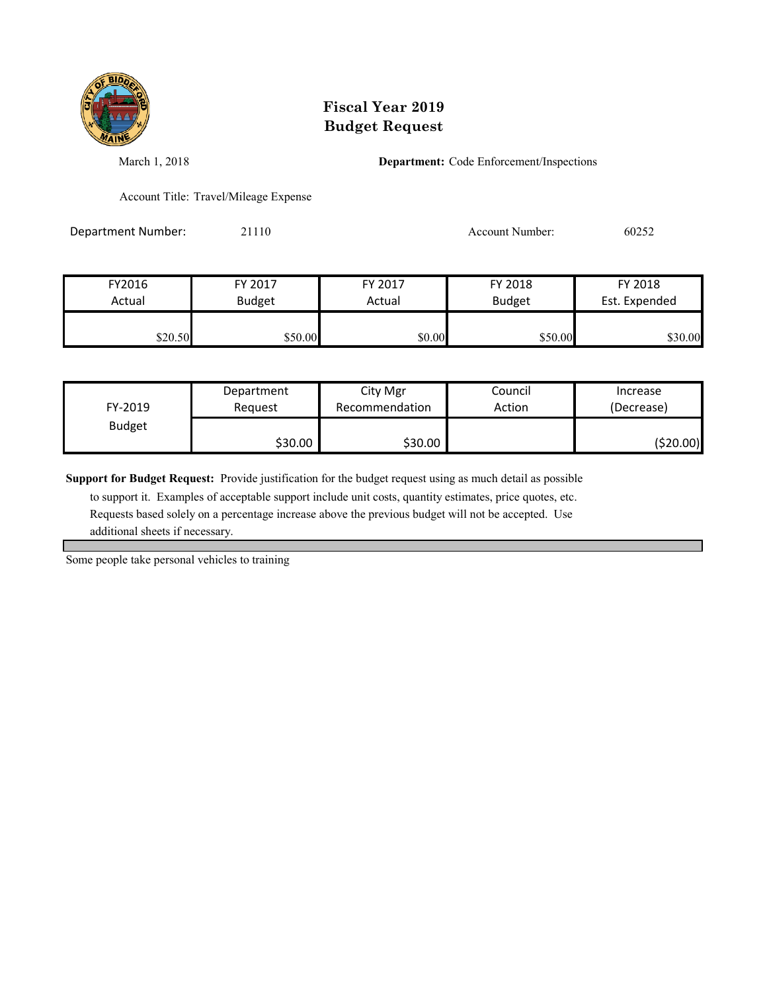

March 1, 2018 **Department:** Code Enforcement/Inspections

Account Title: Travel/Mileage Expense

Department Number: 21110 21110 Account Number: 60252

| FY2016  | FY 2017       | FY 2017 | FY 2018       | FY 2018       |
|---------|---------------|---------|---------------|---------------|
| Actual  | <b>Budget</b> | Actual  | <b>Budget</b> | Est. Expended |
| \$20.50 | \$50.00       | \$0.00  | \$50.00       | \$30.00       |

| FY-2019       | Department | City Mgr       | Council | Increase   |
|---------------|------------|----------------|---------|------------|
|               | Reauest    | Recommendation | Action  | (Decrease) |
| <b>Budget</b> | \$30.00    | \$30.00        |         | (\$20.00)  |

**Support for Budget Request:** Provide justification for the budget request using as much detail as possible

 to support it. Examples of acceptable support include unit costs, quantity estimates, price quotes, etc. Requests based solely on a percentage increase above the previous budget will not be accepted. Use additional sheets if necessary.

Some people take personal vehicles to training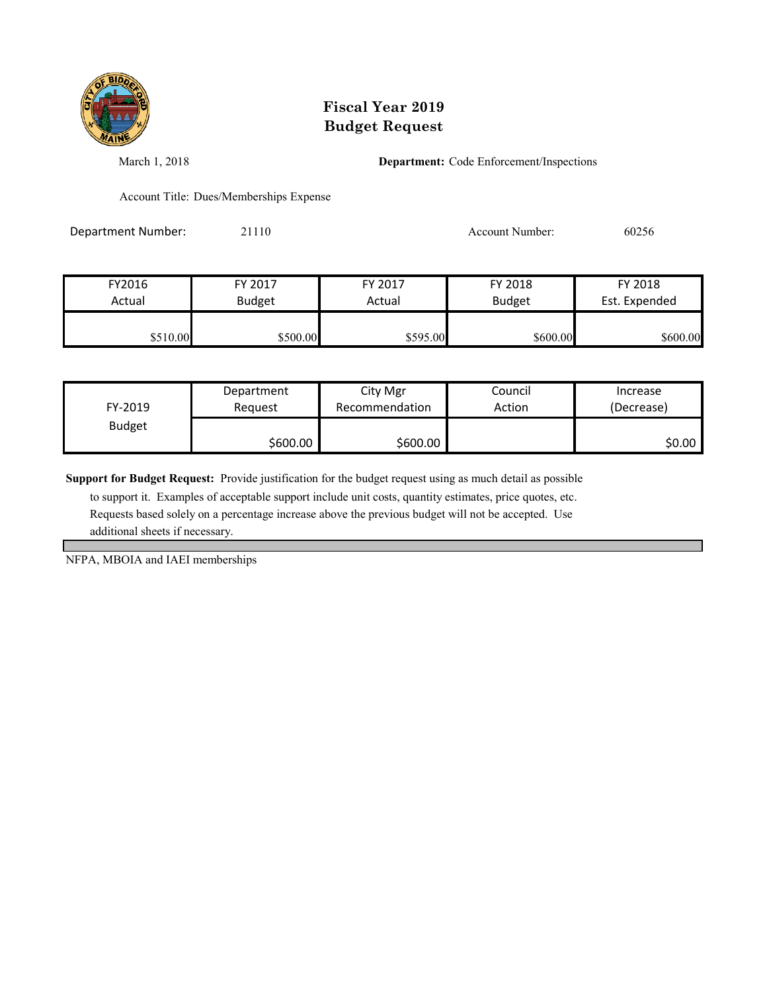

March 1, 2018 **Department:** Code Enforcement/Inspections

Account Title: Dues/Memberships Expense

Department Number: 21110 21110 Account Number: 60256

| FY2016   | FY 2017       | FY 2017  | FY 2018       | FY 2018       |
|----------|---------------|----------|---------------|---------------|
| Actual   | <b>Budget</b> | Actual   | <b>Budget</b> | Est. Expended |
| \$510.00 | \$500.00      | \$595.00 | \$600.00      | \$600.00      |

| FY-2019       | Department | City Mgr       | Council | Increase   |
|---------------|------------|----------------|---------|------------|
|               | Reauest    | Recommendation | Action  | (Decrease) |
| <b>Budget</b> | \$600.00   | \$600.00       |         | \$0.00     |

**Support for Budget Request:** Provide justification for the budget request using as much detail as possible

 to support it. Examples of acceptable support include unit costs, quantity estimates, price quotes, etc. Requests based solely on a percentage increase above the previous budget will not be accepted. Use additional sheets if necessary.

NFPA, MBOIA and IAEI memberships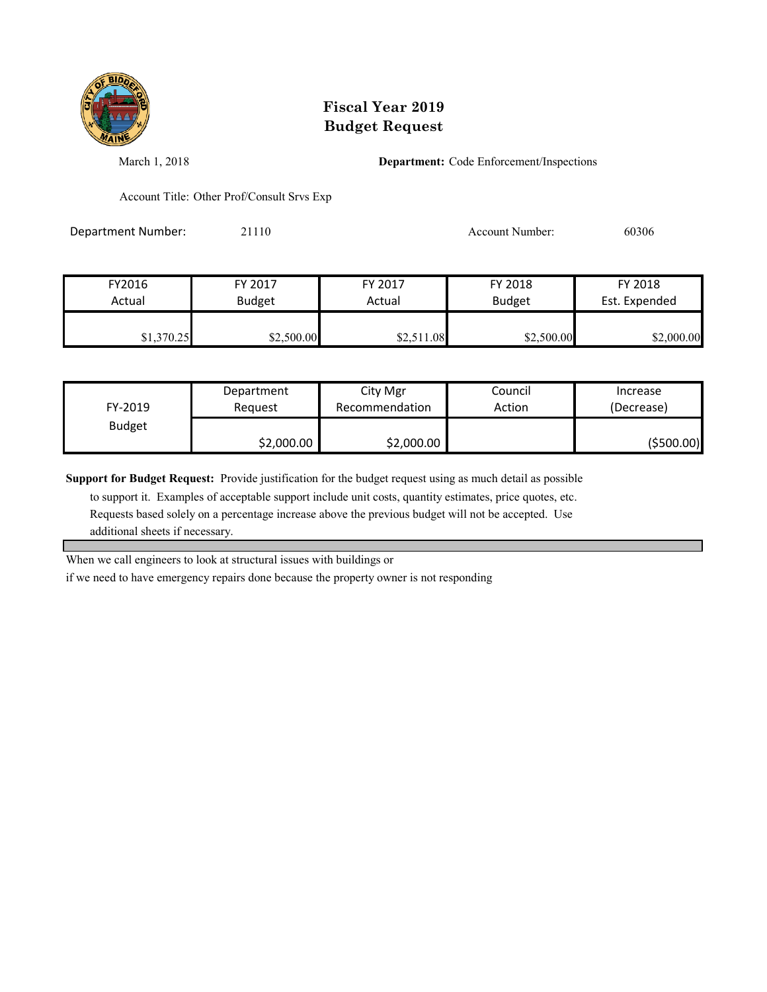

March 1, 2018 **Department:** Code Enforcement/Inspections

Account Title: Other Prof/Consult Srvs Exp

Department Number: 21110 Account Number: 60306

| FY2016     | FY 2017       | FY 2017    | FY 2018       | FY 2018       |
|------------|---------------|------------|---------------|---------------|
| Actual     | <b>Budget</b> | Actual     | <b>Budget</b> | Est. Expended |
| \$1,370.25 | \$2,500.00    | \$2,511.08 | \$2,500.00    | \$2,000.00    |

| FY-2019       | Department | City Mgr       | Council | Increase    |
|---------------|------------|----------------|---------|-------------|
|               | Reauest    | Recommendation | Action  | (Decrease)  |
| <b>Budget</b> | \$2,000.00 | \$2,000.00     |         | ( \$500.00] |

**Support for Budget Request:** Provide justification for the budget request using as much detail as possible

 to support it. Examples of acceptable support include unit costs, quantity estimates, price quotes, etc. Requests based solely on a percentage increase above the previous budget will not be accepted. Use additional sheets if necessary.

When we call engineers to look at structural issues with buildings or

if we need to have emergency repairs done because the property owner is not responding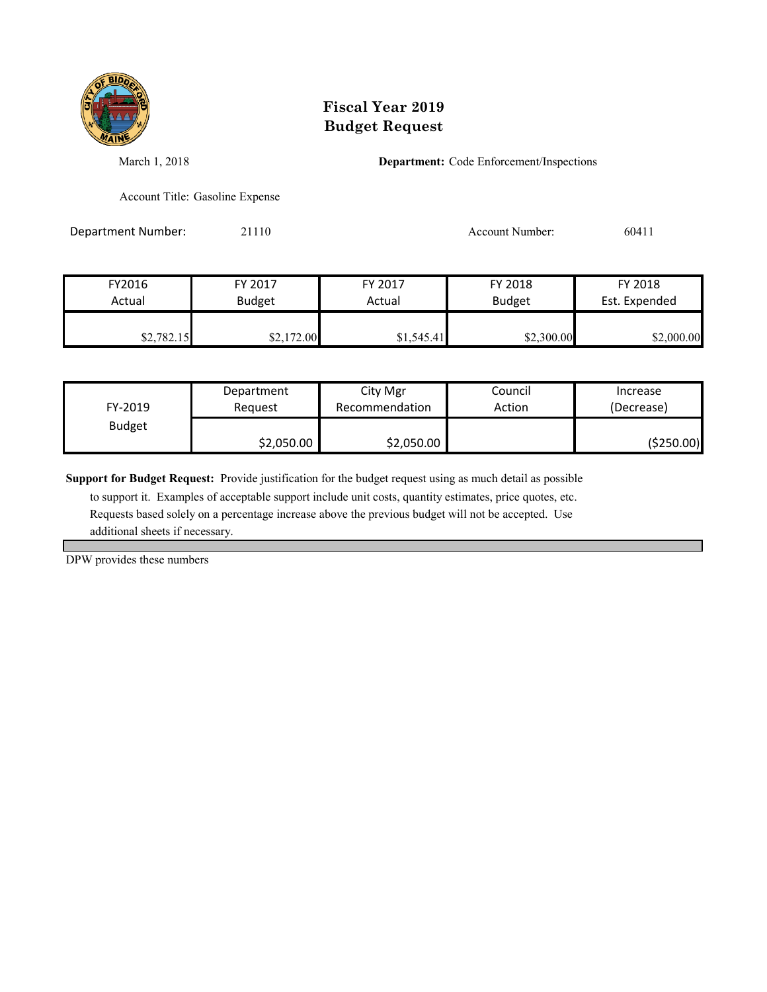

March 1, 2018 **Department:** Code Enforcement/Inspections

Account Title: Gasoline Expense

Department Number: 21110 21110 Account Number: 60411

| FY2016     | FY 2017       | FY 2017    | FY 2018       | FY 2018       |
|------------|---------------|------------|---------------|---------------|
| Actual     | <b>Budget</b> | Actual     | <b>Budget</b> | Est. Expended |
| \$2,782.15 | \$2,172.00    | \$1,545.41 | \$2,300.00    | \$2,000.00    |

| FY-2019       | Department | City Mgr       | Council | Increase   |
|---------------|------------|----------------|---------|------------|
|               | Reauest    | Recommendation | Action  | (Decrease) |
| <b>Budget</b> | \$2,050.00 | \$2,050.00     |         | (\$250.00) |

**Support for Budget Request:** Provide justification for the budget request using as much detail as possible

 to support it. Examples of acceptable support include unit costs, quantity estimates, price quotes, etc. Requests based solely on a percentage increase above the previous budget will not be accepted. Use additional sheets if necessary.

DPW provides these numbers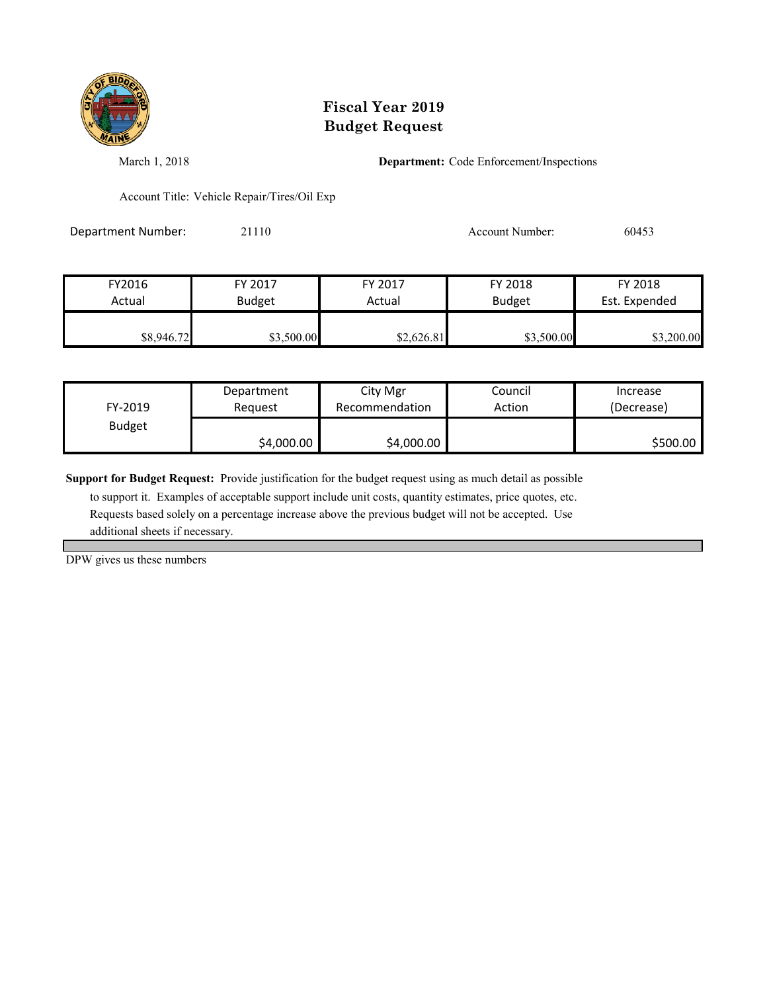

March 1, 2018 **Department:** Code Enforcement/Inspections

Account Title: Vehicle Repair/Tires/Oil Exp

Department Number: 21110 21110 Account Number: 60453

| FY2016     | FY 2017       | FY 2017    | FY 2018       | FY 2018       |
|------------|---------------|------------|---------------|---------------|
| Actual     | <b>Budget</b> | Actual     | <b>Budget</b> | Est. Expended |
| \$8,946.72 | \$3,500.00    | \$2,626.81 | \$3,500.00    | \$3,200.00    |

| FY-2019       | Department | City Mgr       | Council | Increase   |
|---------------|------------|----------------|---------|------------|
|               | Reauest    | Recommendation | Action  | (Decrease) |
| <b>Budget</b> | \$4,000.00 | \$4,000.00     |         | \$500.00   |

**Support for Budget Request:** Provide justification for the budget request using as much detail as possible

 to support it. Examples of acceptable support include unit costs, quantity estimates, price quotes, etc. Requests based solely on a percentage increase above the previous budget will not be accepted. Use additional sheets if necessary.

DPW gives us these numbers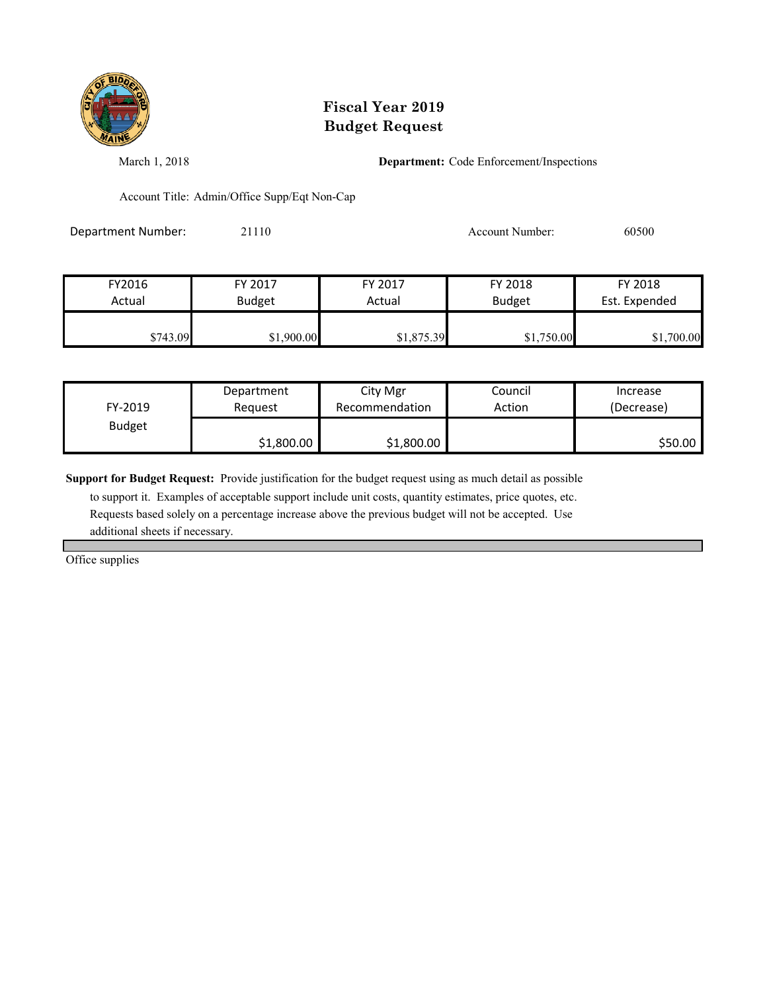

March 1, 2018 **Department:** Code Enforcement/Inspections

Account Title: Admin/Office Supp/Eqt Non-Cap

Department Number: 21110 21110 Account Number: 60500

| FY2016   | FY 2017       | FY 2017    | FY 2018       | FY 2018       |
|----------|---------------|------------|---------------|---------------|
| Actual   | <b>Budget</b> | Actual     | <b>Budget</b> | Est. Expended |
| \$743.09 | \$1,900.00    | \$1,875.39 | \$1,750.00    | \$1,700.00    |

| FY-2019       | Department | City Mgr       | Council | Increase   |
|---------------|------------|----------------|---------|------------|
|               | Reauest    | Recommendation | Action  | (Decrease) |
| <b>Budget</b> | \$1,800.00 | \$1,800.00     |         | \$50.00    |

**Support for Budget Request:** Provide justification for the budget request using as much detail as possible

 to support it. Examples of acceptable support include unit costs, quantity estimates, price quotes, etc. Requests based solely on a percentage increase above the previous budget will not be accepted. Use additional sheets if necessary.

Office supplies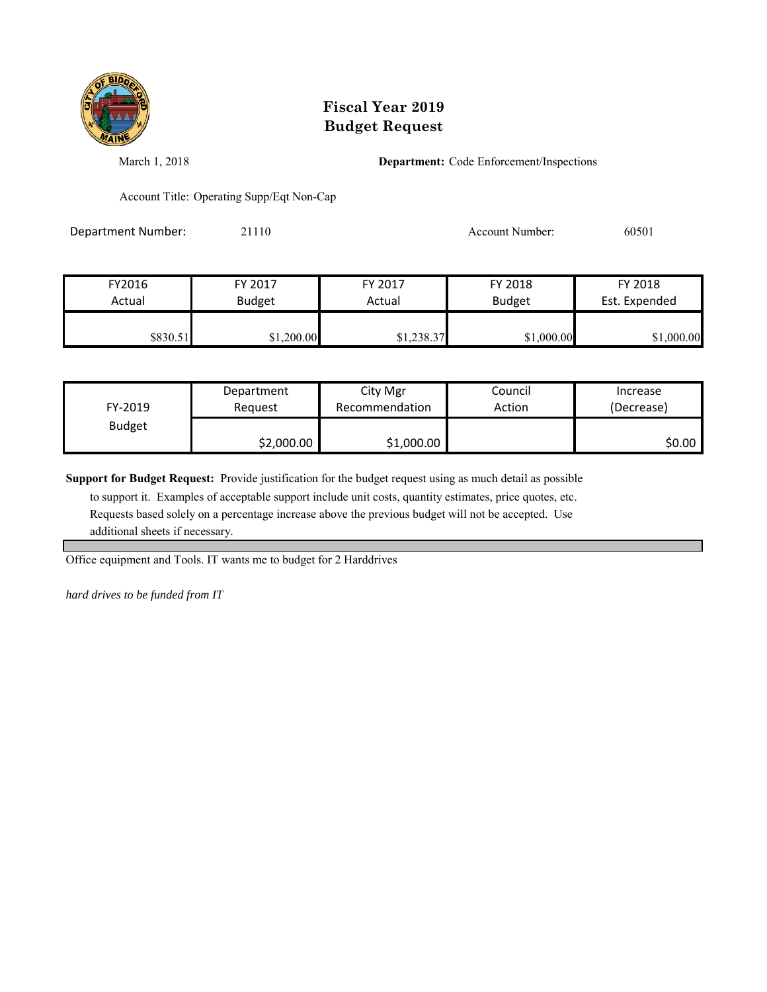

March 1, 2018 **Department:** Code Enforcement/Inspections

Account Title: Operating Supp/Eqt Non-Cap

Department Number: 21110 21110 Account Number: 60501

| FY2016   | FY 2017       | FY 2017    | FY 2018       | FY 2018       |
|----------|---------------|------------|---------------|---------------|
| Actual   | <b>Budget</b> | Actual     | <b>Budget</b> | Est. Expended |
| \$830.51 | \$1,200.00    | \$1,238.37 | \$1,000.00    | \$1,000.00    |

| FY-2019       | Department | City Mgr       | Council | Increase   |
|---------------|------------|----------------|---------|------------|
|               | Reauest    | Recommendation | Action  | (Decrease) |
| <b>Budget</b> | \$2,000.00 | \$1,000.00     |         | \$0.00     |

**Support for Budget Request:** Provide justification for the budget request using as much detail as possible

 to support it. Examples of acceptable support include unit costs, quantity estimates, price quotes, etc. Requests based solely on a percentage increase above the previous budget will not be accepted. Use additional sheets if necessary.

Office equipment and Tools. IT wants me to budget for 2 Harddrives

*hard drives to be funded from IT*